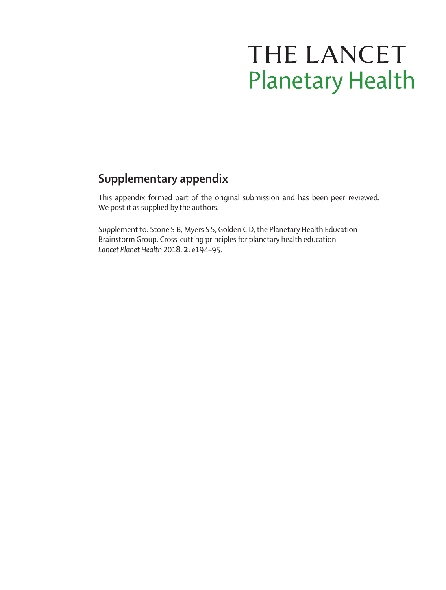# THE LANCET **Planetary Health**

# **Supplementary appendix**

This appendix formed part of the original submission and has been peer reviewed. We post it as supplied by the authors.

Supplement to: Stone S B, Myers S S, Golden C D, the Planetary Health Education Brainstorm Group. Cross-cutting principles for planetary health education. *Lancet Planet Health* 2018; **2:** e194–95.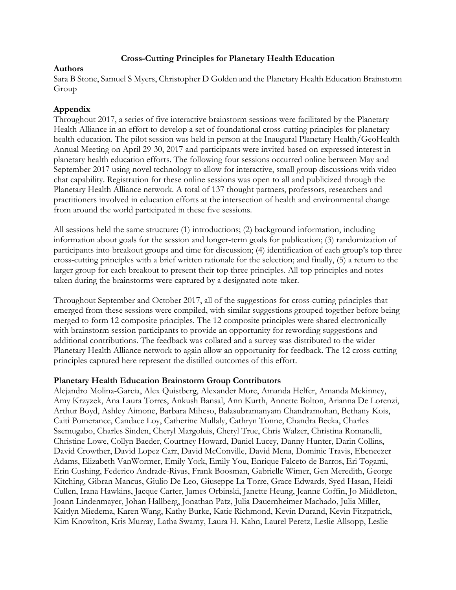## **Cross-Cutting Principles for Planetary Health Education**

#### **Authors**

Sara B Stone, Samuel S Myers, Christopher D Golden and the Planetary Health Education Brainstorm Group

# **Appendix**

Throughout 2017, a series of five interactive brainstorm sessions were facilitated by the Planetary Health Alliance in an effort to develop a set of foundational cross-cutting principles for planetary health education. The pilot session was held in person at the Inaugural Planetary Health/GeoHealth Annual Meeting on April 29-30, 2017 and participants were invited based on expressed interest in planetary health education efforts. The following four sessions occurred online between May and September 2017 using novel technology to allow for interactive, small group discussions with video chat capability. Registration for these online sessions was open to all and publicized through the Planetary Health Alliance network. A total of 137 thought partners, professors, researchers and practitioners involved in education efforts at the intersection of health and environmental change from around the world participated in these five sessions.

All sessions held the same structure: (1) introductions; (2) background information, including information about goals for the session and longer-term goals for publication; (3) randomization of participants into breakout groups and time for discussion; (4) identification of each group's top three cross-cutting principles with a brief written rationale for the selection; and finally, (5) a return to the larger group for each breakout to present their top three principles. All top principles and notes taken during the brainstorms were captured by a designated note-taker.

Throughout September and October 2017, all of the suggestions for cross-cutting principles that emerged from these sessions were compiled, with similar suggestions grouped together before being merged to form 12 composite principles. The 12 composite principles were shared electronically with brainstorm session participants to provide an opportunity for rewording suggestions and additional contributions. The feedback was collated and a survey was distributed to the wider Planetary Health Alliance network to again allow an opportunity for feedback. The 12 cross-cutting principles captured here represent the distilled outcomes of this effort.

## **Planetary Health Education Brainstorm Group Contributors**

Alejandro Molina-Garcia, Alex Quistberg, Alexander More, Amanda Helfer, Amanda Mckinney, Amy Krzyzek, Ana Laura Torres, Ankush Bansal, Ann Kurth, Annette Bolton, Arianna De Lorenzi, Arthur Boyd, Ashley Aimone, Barbara Miheso, Balasubramanyam Chandramohan, Bethany Kois, Caiti Pomerance, Candace Loy, Catherine Mullaly, Cathryn Tonne, Chandra Becka, Charles Ssemugabo, Charles Sinden, Cheryl Margoluis, Cheryl True, Chris Walzer, Christina Romanelli, Christine Lowe, Collyn Baeder, Courtney Howard, Daniel Lucey, Danny Hunter, Darin Collins, David Crowther, David Lopez Carr, David McConville, David Mena, Dominic Travis, Ebeneezer Adams, Elizabeth VanWormer, Emily York, Emily You, Enrique Falceto de Barros, Eri Togami, Erin Cushing, Federico Andrade-Rivas, Frank Boosman, Gabrielle Wimer, Gen Meredith, George Kitching, Gibran Mancus, Giulio De Leo, Giuseppe La Torre, Grace Edwards, Syed Hasan, Heidi Cullen, Irana Hawkins, Jacque Carter, James Orbinski, Janette Heung, Jeanne Coffin, Jo Middleton, Joann Lindenmayer, Johan Hallberg, Jonathan Patz, Julia Dauernheimer Machado, Julia Miller, Kaitlyn Miedema, Karen Wang, Kathy Burke, Katie Richmond, Kevin Durand, Kevin Fitzpatrick, Kim Knowlton, Kris Murray, Latha Swamy, Laura H. Kahn, Laurel Peretz, Leslie Allsopp, Leslie